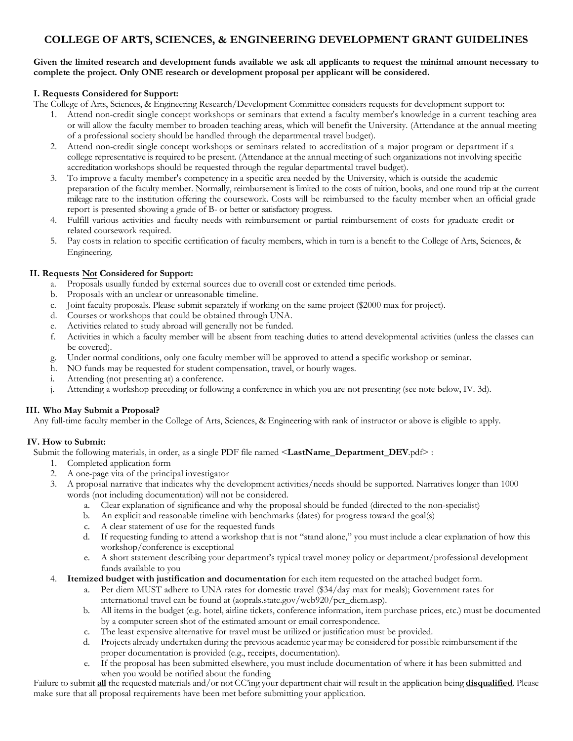# **COLLEGE OF ARTS, SCIENCES, & ENGINEERING DEVELOPMENT GRANT GUIDELINES**

### Given the limited research and development funds available we ask all applicants to request the minimal amount necessary to **complete the project. Only ONE research or development proposal per applicant will be considered.**

### **I. Requests Considered for Support:**

The College of Arts, Sciences, & Engineering Research/Development Committee considers requests for development support to:

- 1. Attend non-credit single concept workshops or seminars that extend a faculty member's knowledge in a current teaching area or will allow the faculty member to broaden teaching areas, which will benefit the University. (Attendance at the annual meeting of a professional society should be handled through the departmental travel budget).
- 2. Attend non-credit single concept workshops or seminars related to accreditation of a major program or department if a college representative is required to be present. (Attendance at the annual meeting of such organizations not involving specific accreditation workshops should be requested through the regular departmental travel budget).
- 3. To improve a faculty member's competency in a specific area needed by the University, which is outside the academic preparation of the faculty member. Normally, reimbursement is limited to the costs of tuition, books, and one round trip at the current mileage rate to the institution offering the coursework. Costs will be reimbursed to the faculty member when an official grade report is presented showing a grade of B- or better or satisfactory progress.
- 4. Fulfill various activities and faculty needs with reimbursement or partial reimbursement of costs for graduate credit or related coursework required.
- 5. Pay costs in relation to specific certification of faculty members, which in turn is a benefit to the College of Arts, Sciences, & Engineering.

#### **II. Requests Not Considered for Support:**

- a. Proposals usually funded by external sources due to overall cost or extended time periods.
- b. Proposals with an unclear or unreasonable timeline.
- c. Joint faculty proposals. Please submit separately if working on the same project (\$2000 max for project).
- d. Courses or workshops that could be obtained through UNA.
- e. Activities related to study abroad will generally not be funded.
- f. Activities in which a faculty member will be absent from teaching duties to attend developmental activities (unless the classes can be covered).
- g. Under normal conditions, only one faculty member will be approved to attend a specific workshop or seminar.
- h. NO funds may be requested for student compensation, travel, or hourly wages.
- i. Attending (not presenting at) a conference.
- j. Attending a workshop preceding or following a conference in which you are not presenting (see note below, IV. 3d).

## **III. Who May Submit a Proposal?**

Any full-time faculty member in the College of Arts, Sciences, & Engineering with rank of instructor or above is eligible to apply.

## **IV. How to Submit:**

Submit the following materials, in order, as a single PDF file named <**LastName\_Department\_DEV**.pdf> :

- 1. Completed application form
- 2. A one-page vita of the principal investigator
- 3. A proposal narrative that indicates why the development activities/needs should be supported. Narratives longer than 1000 words (not including documentation) will not be considered.
	- a. Clear explanation of significance and why the proposal should be funded (directed to the non-specialist)
	- b. An explicit and reasonable timeline with benchmarks (dates) for progress toward the goal(s)
	- c. A clear statement of use for the requested funds
	- d. If requesting funding to attend a workshop that is not "stand alone," you must include a clear explanation of how this workshop/conference is exceptional
	- e. A short statement describing your department's typical travel money policy or department/professional development funds available to you
- 4. **Itemized budget with justification and documentation** for each item requested on the attached budget form.
	- a. Per diem MUST adhere to UNA rates for domestic travel (\$34/day max for meals); Government rates for international travel can be found at (aoprals.state.gov/web920/per\_diem.asp).
	- b. All items in the budget (e.g. hotel, airline tickets, conference information, item purchase prices, etc.) must be documented by a computer screen shot of the estimated amount or email correspondence.
	- c. The least expensive alternative for travel must be utilized or justification must be provided.
	- d. Projects already undertaken during the previous academic year may be considered for possible reimbursement if the proper documentation is provided (e.g., receipts, documentation).
	- e. If the proposal has been submitted elsewhere, you must include documentation of where it has been submitted and when you would be notified about the funding

Failure to submit **all** the requested materials and/or not CC'ing your department chair will result in the application being **disqualified**. Please make sure that all proposal requirements have been met before submitting your application.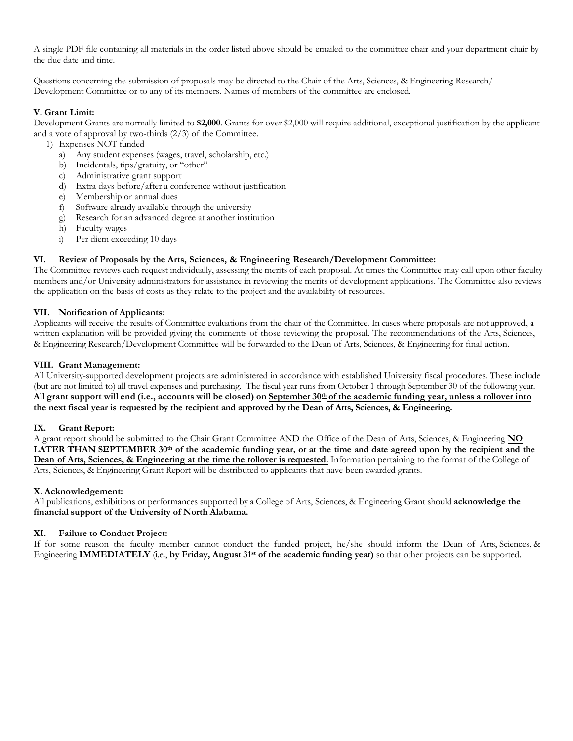A single PDF file containing all materials in the order listed above should be emailed to the committee chair and your department chair by the due date and time.

Questions concerning the submission of proposals may be directed to the Chair of the Arts, Sciences, & Engineering Research/ Development Committee or to any of its members. Names of members of the committee are enclosed.

## **V. Grant Limit:**

Development Grants are normally limited to **\$2,000**. Grants for over \$2,000 will require additional, exceptional justification by the applicant and a vote of approval by two-thirds (2/3) of the Committee.

- 1) Expenses NOT funded
	- a) Any student expenses (wages, travel, scholarship, etc.)
	- b) Incidentals, tips/gratuity, or "other"
	- c) Administrative grant support
	- d) Extra days before/after a conference without justification<br>e) Membership or annual dues
	- Membership or annual dues
	- f) Software already available through the university
	- Research for an advanced degree at another institution
	- h) Faculty wages
	- i) Per diem exceeding 10 days

## **VI. Review of Proposals by the Arts, Sciences, & Engineering Research/Development Committee:**

The Committee reviews each request individually, assessing the merits of each proposal. At times the Committee may call upon other faculty members and/or University administrators for assistance in reviewing the merits of development applications. The Committee also reviews the application on the basis of costs as they relate to the project and the availability of resources.

## **VII. Notification of Applicants:**

Applicants will receive the results of Committee evaluations from the chair of the Committee. In cases where proposals are not approved, a written explanation will be provided giving the comments of those reviewing the proposal. The recommendations of the Arts, Sciences, & Engineering Research/Development Committee will be forwarded to the Dean of Arts, Sciences, & Engineering for final action.

## **VIII. Grant Management:**

All University-supported development projects are administered in accordance with established University fiscal procedures. These include (but are not limited to) all travel expenses and purchasing. The fiscal year runs from October 1 through September 30 of the following year. All grant support will end (i.e., accounts will be closed) on September 30<sup>th</sup> of the academic funding year, unless a rollover into **the next fiscal year is requested by the recipient and approved by the Dean of Arts, Sciences, & Engineering.**

## **IX. Grant Report:**

A grant report should be submitted to the Chair Grant Committee AND the Office of the Dean of Arts, Sciences, & Engineering **NO**  LATER THAN SEPTEMBER 30<sup>th</sup> of the academic funding year, or at the time and date agreed upon by the recipient and the **Dean of Arts, Sciences, & Engineering at the time the rollover is requested.** Information pertaining to the format of the College of Arts, Sciences, & Engineering Grant Report will be distributed to applicants that have been awarded grants.

## **X. Acknowledgement:**

All publications, exhibitions or performances supported by a College of Arts, Sciences, & Engineering Grant should **acknowledge the financial support of the University of North Alabama.**

## **XI. Failure to Conduct Project:**

If for some reason the faculty member cannot conduct the funded project, he/she should inform the Dean of Arts, Sciences, & Engineering **IMMEDIATELY** (i.e., **by Friday, August 31st of the academic funding year)** so that other projects can be supported.